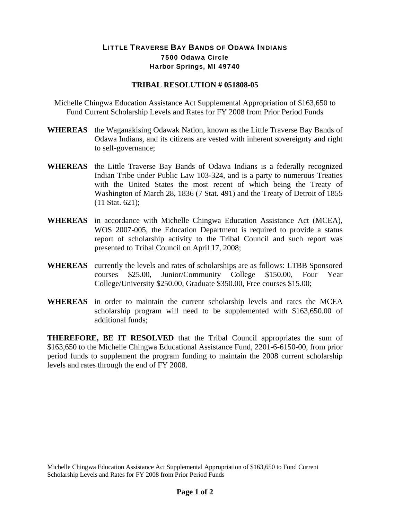## LITTLE TRAVERSE BAY BANDS OF ODAWA INDIANS 7500 Odawa Circle Harbor Springs, MI 49740

## **TRIBAL RESOLUTION # 051808-05**

Michelle Chingwa Education Assistance Act Supplemental Appropriation of \$163,650 to Fund Current Scholarship Levels and Rates for FY 2008 from Prior Period Funds

- **WHEREAS** the Waganakising Odawak Nation, known as the Little Traverse Bay Bands of Odawa Indians, and its citizens are vested with inherent sovereignty and right to self-governance;
- **WHEREAS** the Little Traverse Bay Bands of Odawa Indians is a federally recognized Indian Tribe under Public Law 103-324, and is a party to numerous Treaties with the United States the most recent of which being the Treaty of Washington of March 28, 1836 (7 Stat. 491) and the Treaty of Detroit of 1855 (11 Stat. 621);
- **WHEREAS** in accordance with Michelle Chingwa Education Assistance Act (MCEA), WOS 2007-005, the Education Department is required to provide a status report of scholarship activity to the Tribal Council and such report was presented to Tribal Council on April 17, 2008;
- **WHEREAS** currently the levels and rates of scholarships are as follows: LTBB Sponsored courses \$25.00, Junior/Community College \$150.00, Four Year College/University \$250.00, Graduate \$350.00, Free courses \$15.00;
- **WHEREAS** in order to maintain the current scholarship levels and rates the MCEA scholarship program will need to be supplemented with \$163,650.00 of additional funds;

**THEREFORE, BE IT RESOLVED** that the Tribal Council appropriates the sum of \$163,650 to the Michelle Chingwa Educational Assistance Fund, 2201-6-6150-00, from prior period funds to supplement the program funding to maintain the 2008 current scholarship levels and rates through the end of FY 2008.